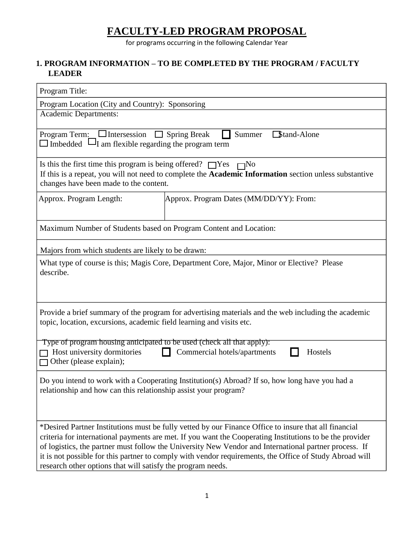# **FACULTY-LED PROGRAM PROPOSAL**

for programs occurring in the following Calendar Year

## **1. PROGRAM INFORMATION – TO BE COMPLETED BY THE PROGRAM / FACULTY LEADER**

| Program Title:                                                                                                                                                                                                                                                                                                                                                                                                                                                                                       |                                         |  |  |
|------------------------------------------------------------------------------------------------------------------------------------------------------------------------------------------------------------------------------------------------------------------------------------------------------------------------------------------------------------------------------------------------------------------------------------------------------------------------------------------------------|-----------------------------------------|--|--|
| Program Location (City and Country): Sponsoring                                                                                                                                                                                                                                                                                                                                                                                                                                                      |                                         |  |  |
| <b>Academic Departments:</b>                                                                                                                                                                                                                                                                                                                                                                                                                                                                         |                                         |  |  |
| Program Term: $\Box$ Intersession<br>$\Box$ Spring Break<br>Stand-Alone<br>Summer<br>$\Box$ Imbedded $\Box$ I am flexible regarding the program term                                                                                                                                                                                                                                                                                                                                                 |                                         |  |  |
| Is this the first time this program is being offered? $\Box$ Yes $\Box$ No<br>If this is a repeat, you will not need to complete the Academic Information section unless substantive<br>changes have been made to the content.                                                                                                                                                                                                                                                                       |                                         |  |  |
| Approx. Program Length:                                                                                                                                                                                                                                                                                                                                                                                                                                                                              | Approx. Program Dates (MM/DD/YY): From: |  |  |
| Maximum Number of Students based on Program Content and Location:                                                                                                                                                                                                                                                                                                                                                                                                                                    |                                         |  |  |
| Majors from which students are likely to be drawn:                                                                                                                                                                                                                                                                                                                                                                                                                                                   |                                         |  |  |
| What type of course is this; Magis Core, Department Core, Major, Minor or Elective? Please<br>describe.                                                                                                                                                                                                                                                                                                                                                                                              |                                         |  |  |
| Provide a brief summary of the program for advertising materials and the web including the academic<br>topic, location, excursions, academic field learning and visits etc.                                                                                                                                                                                                                                                                                                                          |                                         |  |  |
| Type of program housing anticipated to be used (check all that apply):<br>Host university dormitories<br>Commercial hotels/apartments<br>Hostels<br>Other (please explain);                                                                                                                                                                                                                                                                                                                          |                                         |  |  |
| Do you intend to work with a Cooperating Institution(s) Abroad? If so, how long have you had a<br>relationship and how can this relationship assist your program?                                                                                                                                                                                                                                                                                                                                    |                                         |  |  |
| *Desired Partner Institutions must be fully vetted by our Finance Office to insure that all financial<br>criteria for international payments are met. If you want the Cooperating Institutions to be the provider<br>of logistics, the partner must follow the University New Vendor and International partner process. If<br>it is not possible for this partner to comply with vendor requirements, the Office of Study Abroad will<br>research other options that will satisfy the program needs. |                                         |  |  |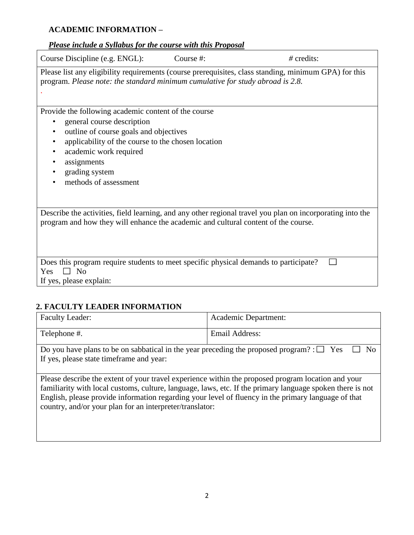## **ACADEMIC INFORMATION –**

#### *Please include a Syllabus for the course with this Proposal*

Course Discipline (e.g. ENGL): Course #: *#* credits: Please list any eligibility requirements (course prerequisites, class standing, minimum GPA) for this program. *Please note: the standard minimum cumulative for study abroad is 2.8.*  . Provide the following academic content of the course • general course description • outline of course goals and objectives • applicability of the course to the chosen location • academic work required • assignments • grading system • methods of assessment Describe the activities, field learning, and any other regional travel you plan on incorporating into the program and how they will enhance the academic and cultural content of the course. Does this program require students to meet specific physical demands to participate? П Yes  $\Box$  No If yes, please explain:

## **2. FACULTY LEADER INFORMATION**

| <b>Faculty Leader:</b>                                                                                                                                                                                                                                                                                                                                                             | Academic Department:  |  |  |  |
|------------------------------------------------------------------------------------------------------------------------------------------------------------------------------------------------------------------------------------------------------------------------------------------------------------------------------------------------------------------------------------|-----------------------|--|--|--|
| Telephone #.                                                                                                                                                                                                                                                                                                                                                                       | <b>Email Address:</b> |  |  |  |
| Do you have plans to be on sabbatical in the year preceding the proposed program? : $\square$ Yes<br>Nο<br>If yes, please state timeframe and year:                                                                                                                                                                                                                                |                       |  |  |  |
| Please describe the extent of your travel experience within the proposed program location and your<br>familiarity with local customs, culture, language, laws, etc. If the primary language spoken there is not<br>English, please provide information regarding your level of fluency in the primary language of that<br>country, and/or your plan for an interpreter/translator: |                       |  |  |  |